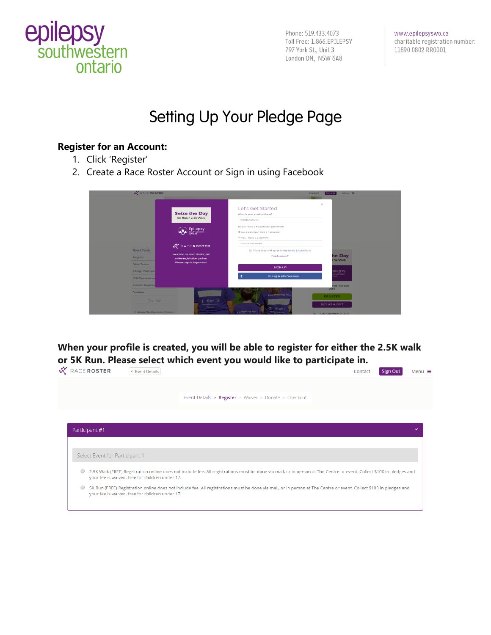

Phone: 519.433.4073 Toll Free: 1.866.EPILEPSY 797 York St., Unit 3 London ON, N5W 6A8

www.epilepsyswo.ca charitable registration number: 11890 0802 RR0001

# Setting Up Your Pledge Page

#### **Register for an Account:**

- 1. Click 'Register'
- 2. Create a Race Roster Account or Sign in using Facebook

| $\mathbf{x}$<br>Let's Get Started<br><b>Seize the Day</b><br>What is your email address?<br>5k Run / 2.5k Walk<br><b>Email Address</b><br>Do you have a Race Roster password?<br>Epilepsy<br>Southwestern<br>Ontario<br>No. I want to create a password.<br>C Yes, I have a password.<br>Create Password | <b>W</b> RACEROSTER |                    | Contact | $Menu \equiv$<br>Sign In |
|----------------------------------------------------------------------------------------------------------------------------------------------------------------------------------------------------------------------------------------------------------------------------------------------------------|---------------------|--------------------|---------|--------------------------|
|                                                                                                                                                                                                                                                                                                          |                     |                    |         |                          |
|                                                                                                                                                                                                                                                                                                          |                     |                    |         |                          |
|                                                                                                                                                                                                                                                                                                          |                     |                    |         |                          |
| <b>Event Details</b><br>I have read and agree to the terms & conditions<br>Welcome To Race Roster, our                                                                                                                                                                                                   |                     | <b>WRACEROSTER</b> |         |                          |
| he Day<br>Forgot password?<br>Register<br>online registration partner.<br>2.5k Walk                                                                                                                                                                                                                      |                     |                    |         |                          |
| Please sign in to proceed.<br>View Teams<br><b>SIGN UP</b>                                                                                                                                                                                                                                               |                     |                    |         |                          |
| pilepsy<br><sup>sulhwatlom</sup><br>Pledge Participan                                                                                                                                                                                                                                                    |                     |                    |         |                          |
| Or, Log in with Facebook<br>ario.<br><b>Gift Registrations</b>                                                                                                                                                                                                                                           |                     |                    |         |                          |
| Confirm Registra<br>eize The Day                                                                                                                                                                                                                                                                         |                     |                    |         |                          |
| Walk<br>Volunteer<br><b>Pm Walking For</b>                                                                                                                                                                                                                                                               |                     |                    |         |                          |
| <b>REGISTER</b><br>39 世紀<br>Charities<br><b>BUY AS A GIFT</b><br><br>$\mathcal{C}_1$ , where $\mathcal{C}_2$<br>I'm Walking For<br>Epilepsy Southwestern Ontario<br>es Sun September 24, 2017                                                                                                            |                     |                    |         |                          |

**When your profile is created, you will be able to register for either the 2.5K walk or 5K Run. Please select which event you would like to participate in.**<br>  $\mathcal{K}$  RACE ROSTER (CEVERLO PRISED)

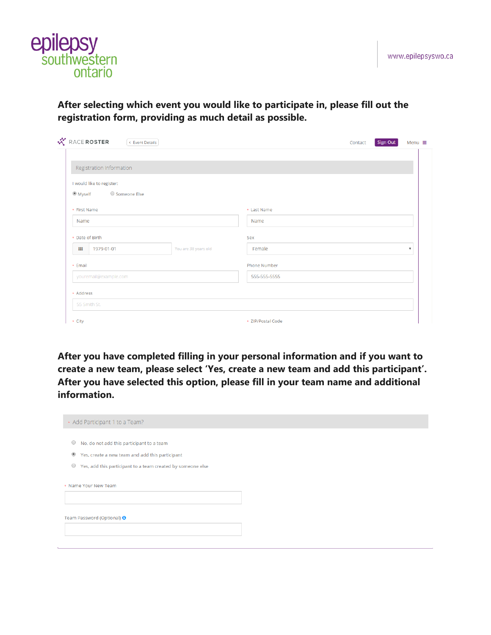

**After selecting which event you would like to participate in, please fill out the registration form, providing as much detail as possible.** 

| RACE ROSTER         | < Event Details           |                      |                     | Contact | Sign Out | Menu $\equiv$           |
|---------------------|---------------------------|----------------------|---------------------|---------|----------|-------------------------|
|                     |                           |                      |                     |         |          |                         |
|                     | Registration Information  |                      |                     |         |          |                         |
|                     | I would like to register: |                      |                     |         |          |                         |
| <sup>●</sup> Myself | ○ Someone Else            |                      |                     |         |          |                         |
| * First Name        |                           |                      | * Last Name         |         |          |                         |
| Name                |                           |                      | Name                |         |          |                         |
| * Date of Birth     |                           |                      | Sex                 |         |          |                         |
| ₩                   | 1979-01-01                | You are 38 years old | Female              |         |          | $\overline{\mathbf{v}}$ |
| * Email             |                           |                      | <b>Phone Number</b> |         |          |                         |
|                     | youremail@example.com     |                      | 555-555-5555        |         |          |                         |
| * Address           |                           |                      |                     |         |          |                         |
|                     | 55 Smith St.              |                      |                     |         |          |                         |
| * City              |                           |                      | * ZIP/Postal Code   |         |          |                         |

**After you have completed filling in your personal information and if you want to create a new team, please select 'Yes, create a new team and add this participant'. After you have selected this option, please fill in your team name and additional information.**

| * Add Participant 1 to a Team?                                         |  |
|------------------------------------------------------------------------|--|
| $\circ$<br>No, do not add this participant to a team                   |  |
| $^\circledR$<br>Yes, create a new team and add this participant        |  |
| $\circ$<br>Yes, add this participant to a team created by someone else |  |
| * Name Your New Team                                                   |  |
| Team Password (Optional) <sup>0</sup>                                  |  |
|                                                                        |  |
|                                                                        |  |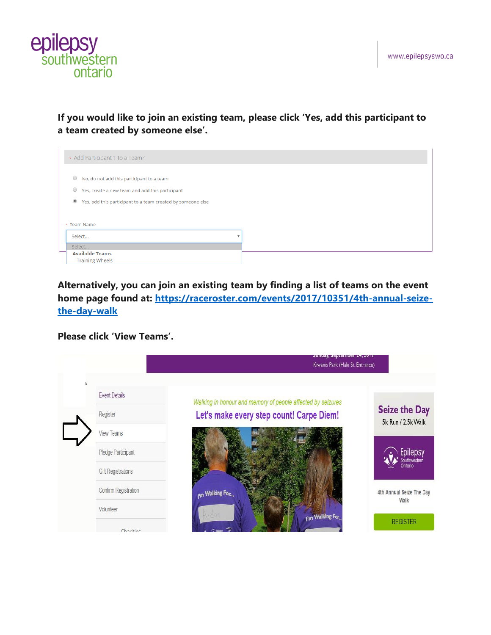

**If you would like to join an existing team, please click 'Yes, add this participant to a team created by someone else'.** 

| * Add Participant 1 to a Team?                                            |  |
|---------------------------------------------------------------------------|--|
|                                                                           |  |
| $\circ$<br>No, do not add this participant to a team                      |  |
| $\circ$<br>Yes, create a new team and add this participant                |  |
| $_{\circ}$<br>Yes, add this participant to a team created by someone else |  |
|                                                                           |  |
| * Team Name                                                               |  |
| Select<br>٠                                                               |  |
| Select                                                                    |  |
| <b>Available Teams</b>                                                    |  |
| <b>Training Wheels</b>                                                    |  |

**Alternatively, you can join an existing team by finding a list of teams on the event home page found at: [https://raceroster.com/events/2017/10351/4th-annual-seize](https://raceroster.com/events/2017/10351/4th-annual-seize-the-day-walk)[the-day-walk](https://raceroster.com/events/2017/10351/4th-annual-seize-the-day-walk)**

**Please click 'View Teams'.** 

|                           | Sunuay, September 24, 2017<br>Kiwanis Park (Hale St. Entrance) |                                            |
|---------------------------|----------------------------------------------------------------|--------------------------------------------|
| <b>Event Details</b>      | Walking in honour and memory of people affected by seizures    |                                            |
| Register                  | Let's make every step count! Carpe Diem!                       | <b>Seize the Day</b><br>5k Run / 2.5k Walk |
| View Teams                |                                                                |                                            |
| Pledge Participant        |                                                                | Epilepsy<br><b>Southwestern</b>            |
| <b>Gift Registrations</b> |                                                                | Ontario                                    |
| Confirm Registration      | I'm Walking For                                                | 4th Annual Seize The Day<br>Walk           |
| Volunteer                 | vd or<br>I'm Walking For.                                      |                                            |
| Charities                 |                                                                | <b>REGISTER</b>                            |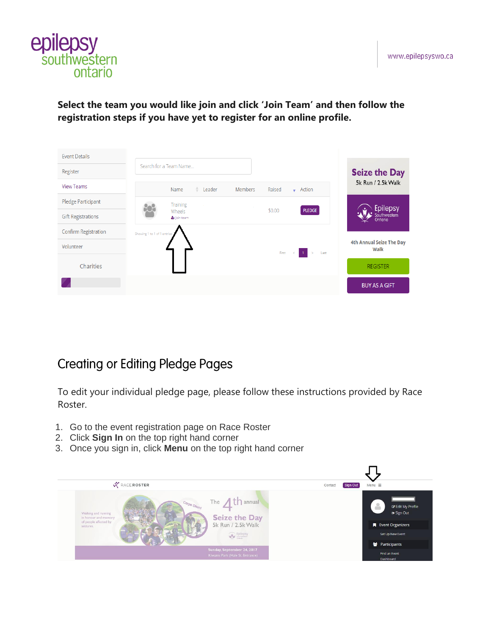

**Select the team you would like join and click 'Join Team' and then follow the registration steps if you have yet to register for an online profile.** 

| <b>Event Details</b>        |                                                              |                                  |
|-----------------------------|--------------------------------------------------------------|----------------------------------|
| Register                    | Search for a Team Name                                       | <b>Seize the Day</b>             |
| <b>View Teams</b>           | Name<br>Members<br>Raised<br>$\bullet$ Action<br>Leader<br>٠ | 5k Run / 2.5k Walk               |
| Pledge Participant          | Training                                                     | <b>Epilepsy</b>                  |
| <b>Gift Registrations</b>   | PLEDGE<br>\$0.00<br>Wheels<br>& Join team                    | Southwestern<br>Ontario          |
| <b>Confirm Registration</b> | Showing 1 to 1 of 1 entries                                  |                                  |
| Volunteer                   | $First \leq 1$<br>Last                                       | 4th Annual Seize The Day<br>Walk |
| Charities                   |                                                              | <b>REGISTER</b>                  |
|                             |                                                              | <b>BUY AS A GIFT</b>             |

# **Creating or Editing Pledge Pages**

To edit your individual pledge page, please follow these instructions provided by Race Roster.

- 1. Go to the event registration page on Race Roster
- 2. Click **Sign In** on the top right hand corner
- 3. Once you sign in, click **Menu** on the top right hand corner

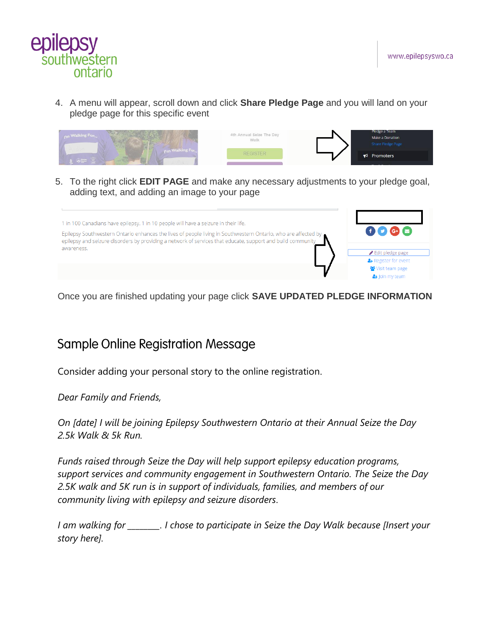



4. A menu will appear, scroll down and click **Share Pledge Page** and you will land on your pledge page for this specific event

| <sub>Pm</sub> Walking For<br><b>um Walking Form</b><br><b>Cap Sheeting</b> | 4th Annual Seize The Day<br>Walk | Pledge a Team<br>Make a Donation<br>Share Pledge Page |  |
|----------------------------------------------------------------------------|----------------------------------|-------------------------------------------------------|--|
|                                                                            | <b>REGISTER</b>                  | $\blacktriangleright$ Promoters                       |  |

5. To the right click **EDIT PAGE** and make any necessary adjustments to your pledge goal, adding text, and adding an image to your page



Once you are finished updating your page click **SAVE UPDATED PLEDGE INFORMATION**

### Sample Online Registration Message

Consider adding your personal story to the online registration.

*Dear Family and Friends,*

*On [date] I will be joining Epilepsy Southwestern Ontario at their Annual Seize the Day 2.5k Walk & 5k Run.*

*Funds raised through Seize the Day will help support epilepsy education programs, support services and community engagement in Southwestern Ontario. The Seize the Day 2.5K walk and 5K run is in support of individuals, families, and members of our community living with epilepsy and seizure disorders*.

*I am walking for \_\_\_\_\_\_\_\_. I chose to participate in Seize the Day Walk because [Insert your story here].*